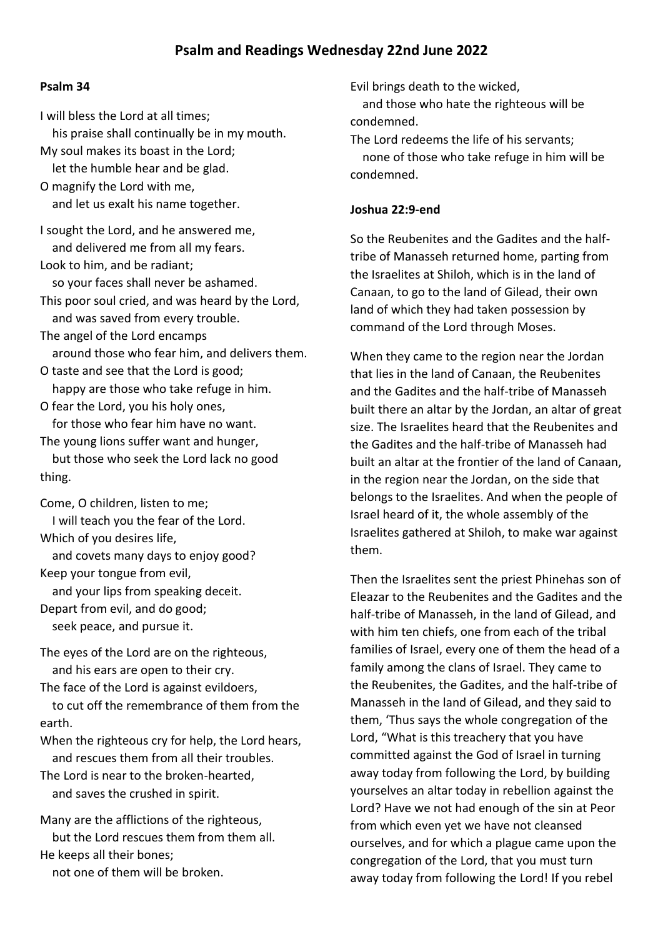## **Psalm 34**

I will bless the Lord at all times; his praise shall continually be in my mouth. My soul makes its boast in the Lord; let the humble hear and be glad. O magnify the Lord with me, and let us exalt his name together. I sought the Lord, and he answered me, and delivered me from all my fears. Look to him, and be radiant; so your faces shall never be ashamed. This poor soul cried, and was heard by the Lord, and was saved from every trouble. The angel of the Lord encamps

around those who fear him, and delivers them.

- O taste and see that the Lord is good; happy are those who take refuge in him.
- O fear the Lord, you his holy ones, for those who fear him have no want.

The young lions suffer want and hunger,

 but those who seek the Lord lack no good thing.

Come, O children, listen to me;

 I will teach you the fear of the Lord. Which of you desires life,

 and covets many days to enjoy good? Keep your tongue from evil,

and your lips from speaking deceit.

Depart from evil, and do good; seek peace, and pursue it.

The eyes of the Lord are on the righteous, and his ears are open to their cry.

The face of the Lord is against evildoers,

 to cut off the remembrance of them from the earth.

When the righteous cry for help, the Lord hears, and rescues them from all their troubles.

The Lord is near to the broken-hearted, and saves the crushed in spirit.

Many are the afflictions of the righteous, but the Lord rescues them from them all. He keeps all their bones;

not one of them will be broken.

Evil brings death to the wicked,

 and those who hate the righteous will be condemned.

The Lord redeems the life of his servants;

 none of those who take refuge in him will be condemned.

## **Joshua 22:9-end**

So the Reubenites and the Gadites and the halftribe of Manasseh returned home, parting from the Israelites at Shiloh, which is in the land of Canaan, to go to the land of Gilead, their own land of which they had taken possession by command of the Lord through Moses.

When they came to the region near the Jordan that lies in the land of Canaan, the Reubenites and the Gadites and the half-tribe of Manasseh built there an altar by the Jordan, an altar of great size. The Israelites heard that the Reubenites and the Gadites and the half-tribe of Manasseh had built an altar at the frontier of the land of Canaan, in the region near the Jordan, on the side that belongs to the Israelites. And when the people of Israel heard of it, the whole assembly of the Israelites gathered at Shiloh, to make war against them.

Then the Israelites sent the priest Phinehas son of Eleazar to the Reubenites and the Gadites and the half-tribe of Manasseh, in the land of Gilead, and with him ten chiefs, one from each of the tribal families of Israel, every one of them the head of a family among the clans of Israel. They came to the Reubenites, the Gadites, and the half-tribe of Manasseh in the land of Gilead, and they said to them, 'Thus says the whole congregation of the Lord, "What is this treachery that you have committed against the God of Israel in turning away today from following the Lord, by building yourselves an altar today in rebellion against the Lord? Have we not had enough of the sin at Peor from which even yet we have not cleansed ourselves, and for which a plague came upon the congregation of the Lord, that you must turn away today from following the Lord! If you rebel